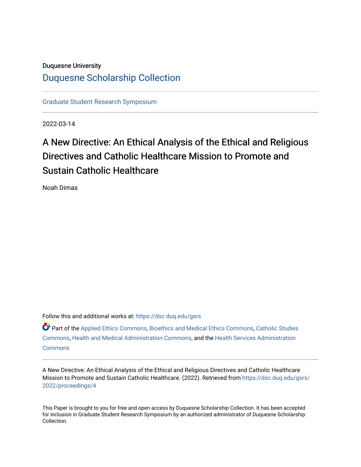# Duquesne University [Duquesne Scholarship Collection](https://dsc.duq.edu/)

[Graduate Student Research Symposium](https://dsc.duq.edu/gsrs)

2022-03-14

# A New Directive: An Ethical Analysis of the Ethical and Religious Directives and Catholic Healthcare Mission to Promote and Sustain Catholic Healthcare

Noah Dimas

Follow this and additional works at: [https://dsc.duq.edu/gsrs](https://dsc.duq.edu/gsrs?utm_source=dsc.duq.edu%2Fgsrs%2F2022%2Fproceedings%2F4&utm_medium=PDF&utm_campaign=PDFCoverPages)

Part of the [Applied Ethics Commons](https://network.bepress.com/hgg/discipline/1392?utm_source=dsc.duq.edu%2Fgsrs%2F2022%2Fproceedings%2F4&utm_medium=PDF&utm_campaign=PDFCoverPages), [Bioethics and Medical Ethics Commons,](https://network.bepress.com/hgg/discipline/650?utm_source=dsc.duq.edu%2Fgsrs%2F2022%2Fproceedings%2F4&utm_medium=PDF&utm_campaign=PDFCoverPages) [Catholic Studies](https://network.bepress.com/hgg/discipline/1294?utm_source=dsc.duq.edu%2Fgsrs%2F2022%2Fproceedings%2F4&utm_medium=PDF&utm_campaign=PDFCoverPages)  [Commons](https://network.bepress.com/hgg/discipline/1294?utm_source=dsc.duq.edu%2Fgsrs%2F2022%2Fproceedings%2F4&utm_medium=PDF&utm_campaign=PDFCoverPages), [Health and Medical Administration Commons,](https://network.bepress.com/hgg/discipline/663?utm_source=dsc.duq.edu%2Fgsrs%2F2022%2Fproceedings%2F4&utm_medium=PDF&utm_campaign=PDFCoverPages) and the [Health Services Administration](https://network.bepress.com/hgg/discipline/747?utm_source=dsc.duq.edu%2Fgsrs%2F2022%2Fproceedings%2F4&utm_medium=PDF&utm_campaign=PDFCoverPages)  **[Commons](https://network.bepress.com/hgg/discipline/747?utm_source=dsc.duq.edu%2Fgsrs%2F2022%2Fproceedings%2F4&utm_medium=PDF&utm_campaign=PDFCoverPages)** 

A New Directive: An Ethical Analysis of the Ethical and Religious Directives and Catholic Healthcare Mission to Promote and Sustain Catholic Healthcare. (2022). Retrieved from [https://dsc.duq.edu/gsrs/](https://dsc.duq.edu/gsrs/2022/proceedings/4?utm_source=dsc.duq.edu%2Fgsrs%2F2022%2Fproceedings%2F4&utm_medium=PDF&utm_campaign=PDFCoverPages) [2022/proceedings/4](https://dsc.duq.edu/gsrs/2022/proceedings/4?utm_source=dsc.duq.edu%2Fgsrs%2F2022%2Fproceedings%2F4&utm_medium=PDF&utm_campaign=PDFCoverPages)

This Paper is brought to you for free and open access by Duquesne Scholarship Collection. It has been accepted for inclusion in Graduate Student Research Symposium by an authorized administrator of Duquesne Scholarship Collection.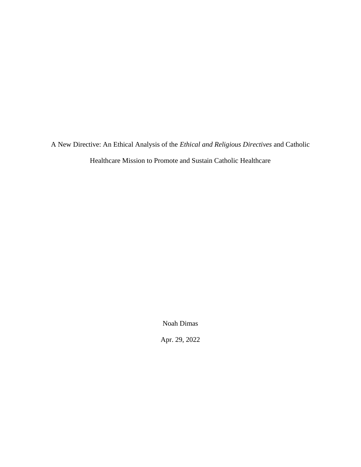A New Directive: An Ethical Analysis of the *Ethical and Religious Directives* and Catholic

Healthcare Mission to Promote and Sustain Catholic Healthcare

Noah Dimas

Apr. 29, 2022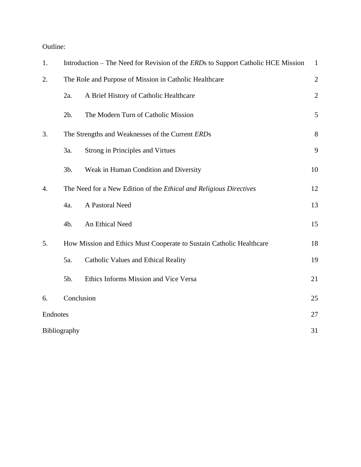Outline:

| 1.           |                                                                           | Introduction – The Need for Revision of the ERDs to Support Catholic HCE Mission |              |
|--------------|---------------------------------------------------------------------------|----------------------------------------------------------------------------------|--------------|
| 2.           | The Role and Purpose of Mission in Catholic Healthcare                    |                                                                                  | $\sqrt{2}$   |
|              | 2a.                                                                       | A Brief History of Catholic Healthcare                                           | $\mathbf{2}$ |
|              | 2b.                                                                       | The Modern Turn of Catholic Mission                                              | 5            |
| 3.           | The Strengths and Weaknesses of the Current ERDs                          |                                                                                  | $8\,$        |
|              | 3a.                                                                       | <b>Strong in Principles and Virtues</b>                                          | 9            |
|              | 3b.                                                                       | Weak in Human Condition and Diversity                                            | 10           |
| 4.           | The Need for a New Edition of the <i>Ethical and Religious Directives</i> |                                                                                  | 12           |
|              | 4a.                                                                       | A Pastoral Need                                                                  | 13           |
|              | 4b.                                                                       | An Ethical Need                                                                  | 15           |
| 5.           | How Mission and Ethics Must Cooperate to Sustain Catholic Healthcare      |                                                                                  | 18           |
|              | 5a.                                                                       | Catholic Values and Ethical Reality                                              | 19           |
|              | 5b.                                                                       | Ethics Informs Mission and Vice Versa                                            | 21           |
| 6.           | Conclusion                                                                |                                                                                  | 25           |
| Endnotes     |                                                                           |                                                                                  | 27           |
| Bibliography |                                                                           |                                                                                  | 31           |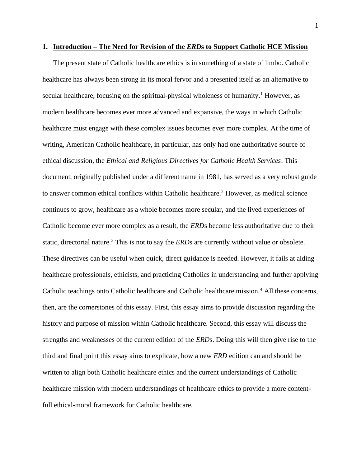#### **1. Introduction – The Need for Revision of the** *ERD***s to Support Catholic HCE Mission**

The present state of Catholic healthcare ethics is in something of a state of limbo. Catholic healthcare has always been strong in its moral fervor and a presented itself as an alternative to secular healthcare, focusing on the spiritual-physical wholeness of humanity.<sup>1</sup> However, as modern healthcare becomes ever more advanced and expansive, the ways in which Catholic healthcare must engage with these complex issues becomes ever more complex. At the time of writing, American Catholic healthcare, in particular, has only had one authoritative source of ethical discussion, the *Ethical and Religious Directives for Catholic Health Services*. This document, originally published under a different name in 1981, has served as a very robust guide to answer common ethical conflicts within Catholic healthcare.<sup>2</sup> However, as medical science continues to grow, healthcare as a whole becomes more secular, and the lived experiences of Catholic become ever more complex as a result, the *ERD*s become less authoritative due to their static, directorial nature.<sup>3</sup> This is not to say the *ERD*s are currently without value or obsolete. These directives can be useful when quick, direct guidance is needed. However, it fails at aiding healthcare professionals, ethicists, and practicing Catholics in understanding and further applying Catholic teachings onto Catholic healthcare and Catholic healthcare mission.<sup>4</sup> All these concerns, then, are the cornerstones of this essay. First, this essay aims to provide discussion regarding the history and purpose of mission within Catholic healthcare. Second, this essay will discuss the strengths and weaknesses of the current edition of the *ERD*s. Doing this will then give rise to the third and final point this essay aims to explicate, how a new *ERD* edition can and should be written to align both Catholic healthcare ethics and the current understandings of Catholic healthcare mission with modern understandings of healthcare ethics to provide a more contentfull ethical-moral framework for Catholic healthcare.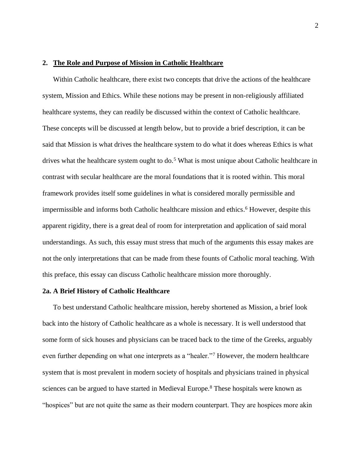#### **2. The Role and Purpose of Mission in Catholic Healthcare**

Within Catholic healthcare, there exist two concepts that drive the actions of the healthcare system, Mission and Ethics. While these notions may be present in non-religiously affiliated healthcare systems, they can readily be discussed within the context of Catholic healthcare. These concepts will be discussed at length below, but to provide a brief description, it can be said that Mission is what drives the healthcare system to do what it does whereas Ethics is what drives what the healthcare system ought to do.<sup>5</sup> What is most unique about Catholic healthcare in contrast with secular healthcare are the moral foundations that it is rooted within. This moral framework provides itself some guidelines in what is considered morally permissible and impermissible and informs both Catholic healthcare mission and ethics. <sup>6</sup> However, despite this apparent rigidity, there is a great deal of room for interpretation and application of said moral understandings. As such, this essay must stress that much of the arguments this essay makes are not the only interpretations that can be made from these founts of Catholic moral teaching. With this preface, this essay can discuss Catholic healthcare mission more thoroughly.

#### **2a. A Brief History of Catholic Healthcare**

To best understand Catholic healthcare mission, hereby shortened as Mission, a brief look back into the history of Catholic healthcare as a whole is necessary. It is well understood that some form of sick houses and physicians can be traced back to the time of the Greeks, arguably even further depending on what one interprets as a "healer."<sup>7</sup> However, the modern healthcare system that is most prevalent in modern society of hospitals and physicians trained in physical sciences can be argued to have started in Medieval Europe.<sup>8</sup> These hospitals were known as "hospices" but are not quite the same as their modern counterpart. They are hospices more akin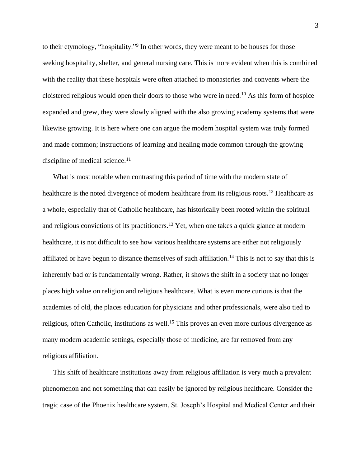to their etymology, "hospitality."<sup>9</sup> In other words, they were meant to be houses for those seeking hospitality, shelter, and general nursing care. This is more evident when this is combined with the reality that these hospitals were often attached to monasteries and convents where the cloistered religious would open their doors to those who were in need.<sup>10</sup> As this form of hospice expanded and grew, they were slowly aligned with the also growing academy systems that were likewise growing. It is here where one can argue the modern hospital system was truly formed and made common; instructions of learning and healing made common through the growing discipline of medical science. $11$ 

What is most notable when contrasting this period of time with the modern state of healthcare is the noted divergence of modern healthcare from its religious roots.<sup>12</sup> Healthcare as a whole, especially that of Catholic healthcare, has historically been rooted within the spiritual and religious convictions of its practitioners.<sup>13</sup> Yet, when one takes a quick glance at modern healthcare, it is not difficult to see how various healthcare systems are either not religiously affiliated or have begun to distance themselves of such affiliation.<sup>14</sup> This is not to say that this is inherently bad or is fundamentally wrong. Rather, it shows the shift in a society that no longer places high value on religion and religious healthcare. What is even more curious is that the academies of old, the places education for physicians and other professionals, were also tied to religious, often Catholic, institutions as well.<sup>15</sup> This proves an even more curious divergence as many modern academic settings, especially those of medicine, are far removed from any religious affiliation.

This shift of healthcare institutions away from religious affiliation is very much a prevalent phenomenon and not something that can easily be ignored by religious healthcare. Consider the tragic case of the Phoenix healthcare system, St. Joseph's Hospital and Medical Center and their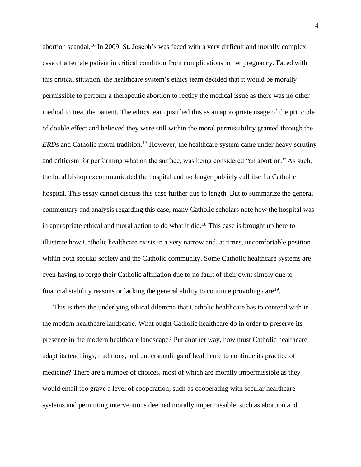abortion scandal.<sup>16</sup> In 2009, St. Joseph's was faced with a very difficult and morally complex case of a female patient in critical condition from complications in her pregnancy. Faced with this critical situation, the healthcare system's ethics team decided that it would be morally permissible to perform a therapeutic abortion to rectify the medical issue as there was no other method to treat the patient. The ethics team justified this as an appropriate usage of the principle of double effect and believed they were still within the moral permissibility granted through the *ERD*s and Catholic moral tradition.<sup>17</sup> However, the healthcare system came under heavy scrutiny and criticism for performing what on the surface, was being considered "an abortion." As such, the local bishop excommunicated the hospital and no longer publicly call itself a Catholic hospital. This essay cannot discuss this case further due to length. But to summarize the general commentary and analysis regarding this case, many Catholic scholars note how the hospital was in appropriate ethical and moral action to do what it did.<sup>18</sup> This case is brought up here to illustrate how Catholic healthcare exists in a very narrow and, at times, uncomfortable position within both secular society and the Catholic community. Some Catholic healthcare systems are even having to forgo their Catholic affiliation due to no fault of their own; simply due to financial stability reasons or lacking the general ability to continue providing care<sup>19</sup>.

This is then the underlying ethical dilemma that Catholic healthcare has to contend with in the modern healthcare landscape. What ought Catholic healthcare do in order to preserve its presence in the modern healthcare landscape? Put another way, how must Catholic healthcare adapt its teachings, traditions, and understandings of healthcare to continue its practice of medicine? There are a number of choices, most of which are morally impermissible as they would entail too grave a level of cooperation, such as cooperating with secular healthcare systems and permitting interventions deemed morally impermissible, such as abortion and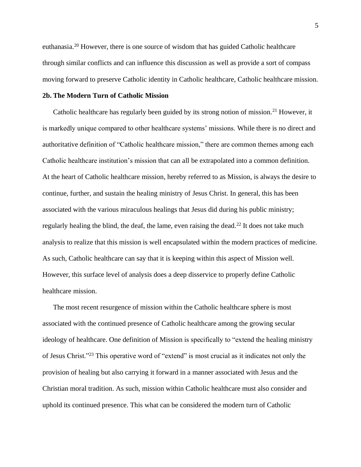euthanasia.<sup>20</sup> However, there is one source of wisdom that has guided Catholic healthcare through similar conflicts and can influence this discussion as well as provide a sort of compass moving forward to preserve Catholic identity in Catholic healthcare, Catholic healthcare mission.

## **2b. The Modern Turn of Catholic Mission**

Catholic healthcare has regularly been guided by its strong notion of mission.<sup>21</sup> However, it is markedly unique compared to other healthcare systems' missions. While there is no direct and authoritative definition of "Catholic healthcare mission," there are common themes among each Catholic healthcare institution's mission that can all be extrapolated into a common definition. At the heart of Catholic healthcare mission, hereby referred to as Mission, is always the desire to continue, further, and sustain the healing ministry of Jesus Christ. In general, this has been associated with the various miraculous healings that Jesus did during his public ministry; regularly healing the blind, the deaf, the lame, even raising the dead.<sup>22</sup> It does not take much analysis to realize that this mission is well encapsulated within the modern practices of medicine. As such, Catholic healthcare can say that it is keeping within this aspect of Mission well. However, this surface level of analysis does a deep disservice to properly define Catholic healthcare mission.

The most recent resurgence of mission within the Catholic healthcare sphere is most associated with the continued presence of Catholic healthcare among the growing secular ideology of healthcare. One definition of Mission is specifically to "extend the healing ministry of Jesus Christ."<sup>23</sup> This operative word of "extend" is most crucial as it indicates not only the provision of healing but also carrying it forward in a manner associated with Jesus and the Christian moral tradition. As such, mission within Catholic healthcare must also consider and uphold its continued presence. This what can be considered the modern turn of Catholic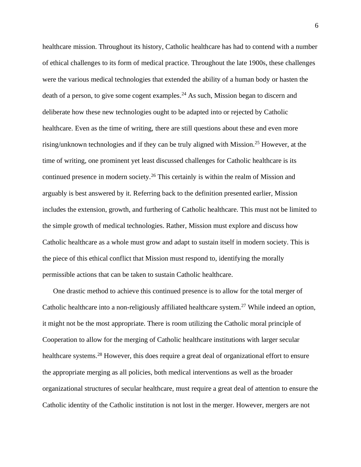healthcare mission. Throughout its history, Catholic healthcare has had to contend with a number of ethical challenges to its form of medical practice. Throughout the late 1900s, these challenges were the various medical technologies that extended the ability of a human body or hasten the death of a person, to give some cogent examples. <sup>24</sup> As such, Mission began to discern and deliberate how these new technologies ought to be adapted into or rejected by Catholic healthcare. Even as the time of writing, there are still questions about these and even more rising/unknown technologies and if they can be truly aligned with Mission.<sup>25</sup> However, at the time of writing, one prominent yet least discussed challenges for Catholic healthcare is its continued presence in modern society.<sup>26</sup> This certainly is within the realm of Mission and arguably is best answered by it. Referring back to the definition presented earlier, Mission includes the extension, growth, and furthering of Catholic healthcare. This must not be limited to the simple growth of medical technologies. Rather, Mission must explore and discuss how Catholic healthcare as a whole must grow and adapt to sustain itself in modern society. This is the piece of this ethical conflict that Mission must respond to, identifying the morally permissible actions that can be taken to sustain Catholic healthcare.

One drastic method to achieve this continued presence is to allow for the total merger of Catholic healthcare into a non-religiously affiliated healthcare system.<sup>27</sup> While indeed an option, it might not be the most appropriate. There is room utilizing the Catholic moral principle of Cooperation to allow for the merging of Catholic healthcare institutions with larger secular healthcare systems.<sup>28</sup> However, this does require a great deal of organizational effort to ensure the appropriate merging as all policies, both medical interventions as well as the broader organizational structures of secular healthcare, must require a great deal of attention to ensure the Catholic identity of the Catholic institution is not lost in the merger. However, mergers are not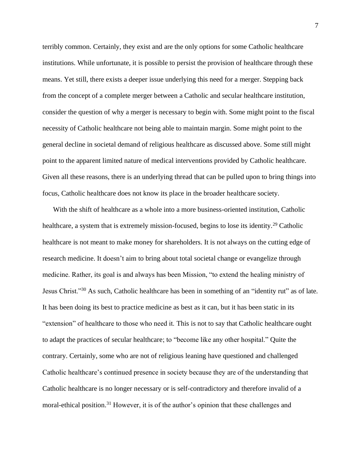terribly common. Certainly, they exist and are the only options for some Catholic healthcare institutions. While unfortunate, it is possible to persist the provision of healthcare through these means. Yet still, there exists a deeper issue underlying this need for a merger. Stepping back from the concept of a complete merger between a Catholic and secular healthcare institution, consider the question of why a merger is necessary to begin with. Some might point to the fiscal necessity of Catholic healthcare not being able to maintain margin. Some might point to the general decline in societal demand of religious healthcare as discussed above. Some still might point to the apparent limited nature of medical interventions provided by Catholic healthcare. Given all these reasons, there is an underlying thread that can be pulled upon to bring things into focus, Catholic healthcare does not know its place in the broader healthcare society.

With the shift of healthcare as a whole into a more business-oriented institution, Catholic healthcare, a system that is extremely mission-focused, begins to lose its identity.<sup>29</sup> Catholic healthcare is not meant to make money for shareholders. It is not always on the cutting edge of research medicine. It doesn't aim to bring about total societal change or evangelize through medicine. Rather, its goal is and always has been Mission, "to extend the healing ministry of Jesus Christ."<sup>30</sup> As such, Catholic healthcare has been in something of an "identity rut" as of late. It has been doing its best to practice medicine as best as it can, but it has been static in its "extension" of healthcare to those who need it. This is not to say that Catholic healthcare ought to adapt the practices of secular healthcare; to "become like any other hospital." Quite the contrary. Certainly, some who are not of religious leaning have questioned and challenged Catholic healthcare's continued presence in society because they are of the understanding that Catholic healthcare is no longer necessary or is self-contradictory and therefore invalid of a moral-ethical position.<sup>31</sup> However, it is of the author's opinion that these challenges and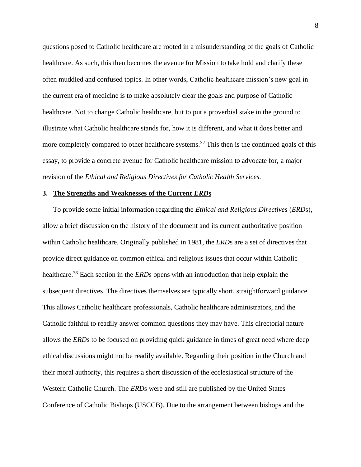questions posed to Catholic healthcare are rooted in a misunderstanding of the goals of Catholic healthcare. As such, this then becomes the avenue for Mission to take hold and clarify these often muddied and confused topics. In other words, Catholic healthcare mission's new goal in the current era of medicine is to make absolutely clear the goals and purpose of Catholic healthcare. Not to change Catholic healthcare, but to put a proverbial stake in the ground to illustrate what Catholic healthcare stands for, how it is different, and what it does better and more completely compared to other healthcare systems.<sup>32</sup> This then is the continued goals of this essay, to provide a concrete avenue for Catholic healthcare mission to advocate for, a major revision of the *Ethical and Religious Directives for Catholic Health Services.*

#### **3. The Strengths and Weaknesses of the Current** *ERD***s**

To provide some initial information regarding the *Ethical and Religious Directives* (*ERD*s), allow a brief discussion on the history of the document and its current authoritative position within Catholic healthcare. Originally published in 1981, the *ERD*s are a set of directives that provide direct guidance on common ethical and religious issues that occur within Catholic healthcare.<sup>33</sup> Each section in the *ERD*s opens with an introduction that help explain the subsequent directives. The directives themselves are typically short, straightforward guidance. This allows Catholic healthcare professionals, Catholic healthcare administrators, and the Catholic faithful to readily answer common questions they may have. This directorial nature allows the *ERD*s to be focused on providing quick guidance in times of great need where deep ethical discussions might not be readily available. Regarding their position in the Church and their moral authority, this requires a short discussion of the ecclesiastical structure of the Western Catholic Church. The *ERD*s were and still are published by the United States Conference of Catholic Bishops (USCCB). Due to the arrangement between bishops and the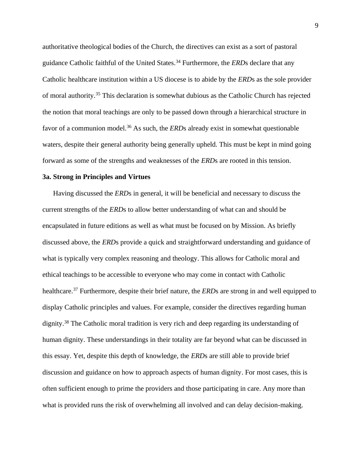authoritative theological bodies of the Church, the directives can exist as a sort of pastoral guidance Catholic faithful of the United States. <sup>34</sup> Furthermore, the *ERD*s declare that any Catholic healthcare institution within a US diocese is to abide by the *ERD*s as the sole provider of moral authority.<sup>35</sup> This declaration is somewhat dubious as the Catholic Church has rejected the notion that moral teachings are only to be passed down through a hierarchical structure in favor of a communion model. <sup>36</sup> As such, the *ERD*s already exist in somewhat questionable waters, despite their general authority being generally upheld. This must be kept in mind going forward as some of the strengths and weaknesses of the *ERD*s are rooted in this tension.

#### **3a. Strong in Principles and Virtues**

Having discussed the *ERD*s in general, it will be beneficial and necessary to discuss the current strengths of the *ERD*s to allow better understanding of what can and should be encapsulated in future editions as well as what must be focused on by Mission. As briefly discussed above, the *ERD*s provide a quick and straightforward understanding and guidance of what is typically very complex reasoning and theology. This allows for Catholic moral and ethical teachings to be accessible to everyone who may come in contact with Catholic healthcare.<sup>37</sup> Furthermore, despite their brief nature, the *ERD*s are strong in and well equipped to display Catholic principles and values. For example, consider the directives regarding human dignity.<sup>38</sup> The Catholic moral tradition is very rich and deep regarding its understanding of human dignity. These understandings in their totality are far beyond what can be discussed in this essay. Yet, despite this depth of knowledge, the *ERD*s are still able to provide brief discussion and guidance on how to approach aspects of human dignity. For most cases, this is often sufficient enough to prime the providers and those participating in care. Any more than what is provided runs the risk of overwhelming all involved and can delay decision-making.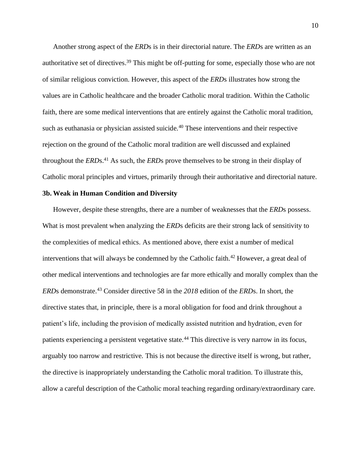Another strong aspect of the *ERD*s is in their directorial nature. The *ERD*s are written as an authoritative set of directives. <sup>39</sup> This might be off-putting for some, especially those who are not of similar religious conviction. However, this aspect of the *ERD*s illustrates how strong the values are in Catholic healthcare and the broader Catholic moral tradition. Within the Catholic faith, there are some medical interventions that are entirely against the Catholic moral tradition, such as euthanasia or physician assisted suicide.<sup>40</sup> These interventions and their respective rejection on the ground of the Catholic moral tradition are well discussed and explained throughout the *ERD*s.<sup>41</sup> As such, the *ERD*s prove themselves to be strong in their display of Catholic moral principles and virtues, primarily through their authoritative and directorial nature.

### **3b. Weak in Human Condition and Diversity**

However, despite these strengths, there are a number of weaknesses that the *ERD*s possess. What is most prevalent when analyzing the *ERD*s deficits are their strong lack of sensitivity to the complexities of medical ethics. As mentioned above, there exist a number of medical interventions that will always be condemned by the Catholic faith.<sup>42</sup> However, a great deal of other medical interventions and technologies are far more ethically and morally complex than the *ERD*s demonstrate.<sup>43</sup> Consider directive 58 in the *2018* edition of the *ERD*s. In short, the directive states that, in principle, there is a moral obligation for food and drink throughout a patient's life, including the provision of medically assisted nutrition and hydration, even for patients experiencing a persistent vegetative state.<sup>44</sup> This directive is very narrow in its focus, arguably too narrow and restrictive. This is not because the directive itself is wrong, but rather, the directive is inappropriately understanding the Catholic moral tradition. To illustrate this, allow a careful description of the Catholic moral teaching regarding ordinary/extraordinary care.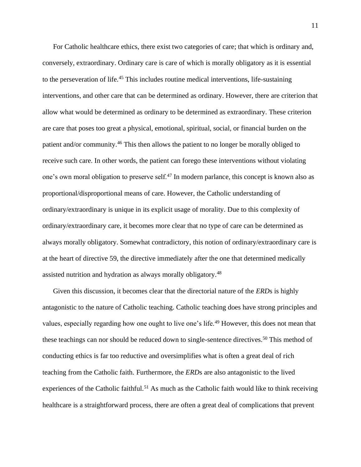For Catholic healthcare ethics, there exist two categories of care; that which is ordinary and, conversely, extraordinary. Ordinary care is care of which is morally obligatory as it is essential to the perseveration of life.<sup>45</sup> This includes routine medical interventions, life-sustaining interventions, and other care that can be determined as ordinary. However, there are criterion that allow what would be determined as ordinary to be determined as extraordinary. These criterion are care that poses too great a physical, emotional, spiritual, social, or financial burden on the patient and/or community.<sup>46</sup> This then allows the patient to no longer be morally obliged to receive such care. In other words, the patient can forego these interventions without violating one's own moral obligation to preserve self.<sup>47</sup> In modern parlance, this concept is known also as proportional/disproportional means of care. However, the Catholic understanding of ordinary/extraordinary is unique in its explicit usage of morality. Due to this complexity of ordinary/extraordinary care, it becomes more clear that no type of care can be determined as always morally obligatory. Somewhat contradictory, this notion of ordinary/extraordinary care is at the heart of directive 59, the directive immediately after the one that determined medically assisted nutrition and hydration as always morally obligatory.<sup>48</sup>

Given this discussion, it becomes clear that the directorial nature of the *ERD*s is highly antagonistic to the nature of Catholic teaching. Catholic teaching does have strong principles and values, especially regarding how one ought to live one's life.<sup>49</sup> However, this does not mean that these teachings can nor should be reduced down to single-sentence directives.<sup>50</sup> This method of conducting ethics is far too reductive and oversimplifies what is often a great deal of rich teaching from the Catholic faith. Furthermore, the *ERD*s are also antagonistic to the lived experiences of the Catholic faithful.<sup>51</sup> As much as the Catholic faith would like to think receiving healthcare is a straightforward process, there are often a great deal of complications that prevent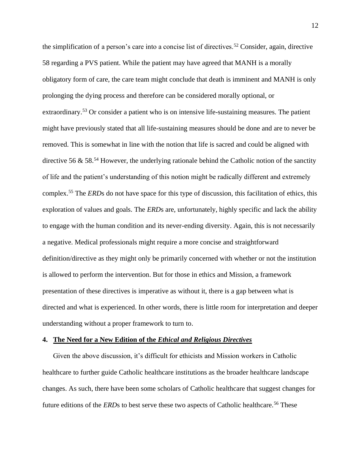the simplification of a person's care into a concise list of directives.<sup>52</sup> Consider, again, directive 58 regarding a PVS patient. While the patient may have agreed that MANH is a morally obligatory form of care, the care team might conclude that death is imminent and MANH is only prolonging the dying process and therefore can be considered morally optional, or extraordinary.<sup>53</sup> Or consider a patient who is on intensive life-sustaining measures. The patient might have previously stated that all life-sustaining measures should be done and are to never be removed. This is somewhat in line with the notion that life is sacred and could be aligned with directive 56 & 58.<sup>54</sup> However, the underlying rationale behind the Catholic notion of the sanctity of life and the patient's understanding of this notion might be radically different and extremely complex.<sup>55</sup> The *ERD*s do not have space for this type of discussion, this facilitation of ethics, this exploration of values and goals. The *ERD*s are, unfortunately, highly specific and lack the ability to engage with the human condition and its never-ending diversity. Again, this is not necessarily a negative. Medical professionals might require a more concise and straightforward definition/directive as they might only be primarily concerned with whether or not the institution is allowed to perform the intervention. But for those in ethics and Mission, a framework presentation of these directives is imperative as without it, there is a gap between what is directed and what is experienced. In other words, there is little room for interpretation and deeper understanding without a proper framework to turn to.

#### **4. The Need for a New Edition of the** *Ethical and Religious Directives*

Given the above discussion, it's difficult for ethicists and Mission workers in Catholic healthcare to further guide Catholic healthcare institutions as the broader healthcare landscape changes. As such, there have been some scholars of Catholic healthcare that suggest changes for future editions of the *ERD*s to best serve these two aspects of Catholic healthcare.<sup>56</sup> These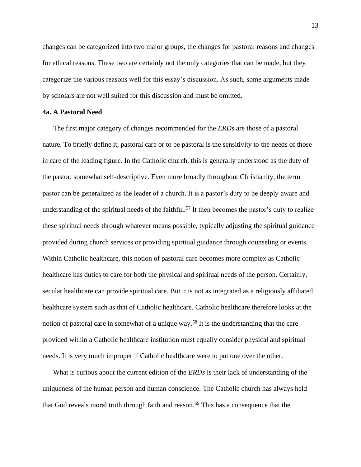changes can be categorized into two major groups, the changes for pastoral reasons and changes for ethical reasons. These two are certainly not the only categories that can be made, but they categorize the various reasons well for this essay's discussion. As such, some arguments made by scholars are not well suited for this discussion and must be omitted.

#### **4a. A Pastoral Need**

The first major category of changes recommended for the *ERD*s are those of a pastoral nature. To briefly define it, pastoral care or to be pastoral is the sensitivity to the needs of those in care of the leading figure. In the Catholic church, this is generally understood as the duty of the pastor, somewhat self-descriptive. Even more broadly throughout Christianity, the term pastor can be generalized as the leader of a church. It is a pastor's duty to be deeply aware and understanding of the spiritual needs of the faithful. <sup>57</sup> It then becomes the pastor's duty to realize these spiritual needs through whatever means possible, typically adjusting the spiritual guidance provided during church services or providing spiritual guidance through counseling or events. Within Catholic healthcare, this notion of pastoral care becomes more complex as Catholic healthcare has duties to care for both the physical and spiritual needs of the person. Certainly, secular healthcare can provide spiritual care. But it is not as integrated as a religiously affiliated healthcare system such as that of Catholic healthcare. Catholic healthcare therefore looks at the notion of pastoral care in somewhat of a unique way.<sup>58</sup> It is the understanding that the care provided within a Catholic healthcare institution must equally consider physical and spiritual needs. It is very much improper if Catholic healthcare were to put one over the other.

What is curious about the current edition of the *ERDs* is their lack of understanding of the uniqueness of the human person and human conscience. The Catholic church has always held that God reveals moral truth through faith and reason.<sup>59</sup> This has a consequence that the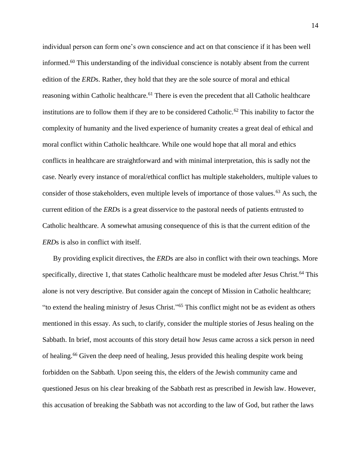individual person can form one's own conscience and act on that conscience if it has been well informed.<sup>60</sup> This understanding of the individual conscience is notably absent from the current edition of the *ERD*s. Rather, they hold that they are the sole source of moral and ethical reasoning within Catholic healthcare.<sup>61</sup> There is even the precedent that all Catholic healthcare institutions are to follow them if they are to be considered Catholic.<sup>62</sup> This inability to factor the complexity of humanity and the lived experience of humanity creates a great deal of ethical and moral conflict within Catholic healthcare. While one would hope that all moral and ethics conflicts in healthcare are straightforward and with minimal interpretation, this is sadly not the case. Nearly every instance of moral/ethical conflict has multiple stakeholders, multiple values to consider of those stakeholders, even multiple levels of importance of those values.<sup>63</sup> As such, the current edition of the *ERD*s is a great disservice to the pastoral needs of patients entrusted to Catholic healthcare. A somewhat amusing consequence of this is that the current edition of the *ERD*s is also in conflict with itself.

By providing explicit directives, the *ERD*s are also in conflict with their own teachings. More specifically, directive 1, that states Catholic healthcare must be modeled after Jesus Christ.<sup>64</sup> This alone is not very descriptive. But consider again the concept of Mission in Catholic healthcare; "to extend the healing ministry of Jesus Christ." <sup>65</sup> This conflict might not be as evident as others mentioned in this essay. As such, to clarify, consider the multiple stories of Jesus healing on the Sabbath. In brief, most accounts of this story detail how Jesus came across a sick person in need of healing. <sup>66</sup> Given the deep need of healing, Jesus provided this healing despite work being forbidden on the Sabbath. Upon seeing this, the elders of the Jewish community came and questioned Jesus on his clear breaking of the Sabbath rest as prescribed in Jewish law. However, this accusation of breaking the Sabbath was not according to the law of God, but rather the laws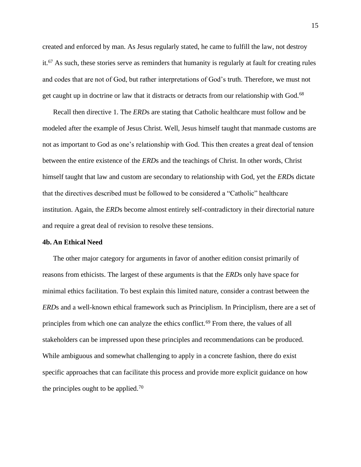created and enforced by man. As Jesus regularly stated, he came to fulfill the law, not destroy it.<sup>67</sup> As such, these stories serve as reminders that humanity is regularly at fault for creating rules and codes that are not of God, but rather interpretations of God's truth. Therefore, we must not get caught up in doctrine or law that it distracts or detracts from our relationship with God.<sup>68</sup>

Recall then directive 1. The *ERD*s are stating that Catholic healthcare must follow and be modeled after the example of Jesus Christ. Well, Jesus himself taught that manmade customs are not as important to God as one's relationship with God. This then creates a great deal of tension between the entire existence of the *ERD*s and the teachings of Christ. In other words, Christ himself taught that law and custom are secondary to relationship with God, yet the *ERD*s dictate that the directives described must be followed to be considered a "Catholic" healthcare institution. Again, the *ERD*s become almost entirely self-contradictory in their directorial nature and require a great deal of revision to resolve these tensions.

#### **4b. An Ethical Need**

The other major category for arguments in favor of another edition consist primarily of reasons from ethicists. The largest of these arguments is that the *ERD*s only have space for minimal ethics facilitation. To best explain this limited nature, consider a contrast between the *ERD*s and a well-known ethical framework such as Principlism. In Principlism, there are a set of principles from which one can analyze the ethics conflict.<sup>69</sup> From there, the values of all stakeholders can be impressed upon these principles and recommendations can be produced. While ambiguous and somewhat challenging to apply in a concrete fashion, there do exist specific approaches that can facilitate this process and provide more explicit guidance on how the principles ought to be applied.<sup>70</sup>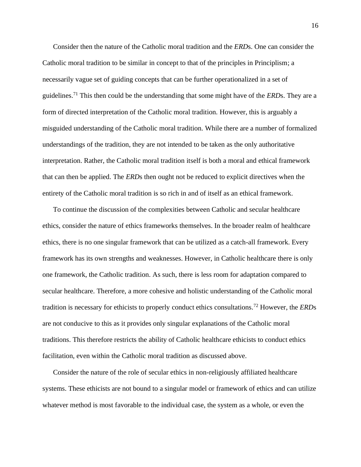Consider then the nature of the Catholic moral tradition and the *ERD*s. One can consider the Catholic moral tradition to be similar in concept to that of the principles in Principlism; a necessarily vague set of guiding concepts that can be further operationalized in a set of guidelines.<sup>71</sup> This then could be the understanding that some might have of the *ERD*s. They are a form of directed interpretation of the Catholic moral tradition. However, this is arguably a misguided understanding of the Catholic moral tradition. While there are a number of formalized understandings of the tradition, they are not intended to be taken as the only authoritative interpretation. Rather, the Catholic moral tradition itself is both a moral and ethical framework that can then be applied. The *ERD*s then ought not be reduced to explicit directives when the entirety of the Catholic moral tradition is so rich in and of itself as an ethical framework.

To continue the discussion of the complexities between Catholic and secular healthcare ethics, consider the nature of ethics frameworks themselves. In the broader realm of healthcare ethics, there is no one singular framework that can be utilized as a catch-all framework. Every framework has its own strengths and weaknesses. However, in Catholic healthcare there is only one framework, the Catholic tradition. As such, there is less room for adaptation compared to secular healthcare. Therefore, a more cohesive and holistic understanding of the Catholic moral tradition is necessary for ethicists to properly conduct ethics consultations.<sup>72</sup> However, the *ERD*s are not conducive to this as it provides only singular explanations of the Catholic moral traditions. This therefore restricts the ability of Catholic healthcare ethicists to conduct ethics facilitation, even within the Catholic moral tradition as discussed above.

Consider the nature of the role of secular ethics in non-religiously affiliated healthcare systems. These ethicists are not bound to a singular model or framework of ethics and can utilize whatever method is most favorable to the individual case, the system as a whole, or even the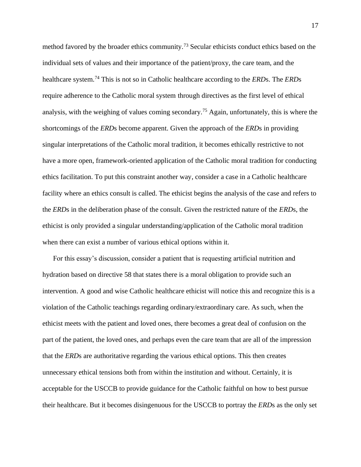method favored by the broader ethics community.<sup>73</sup> Secular ethicists conduct ethics based on the individual sets of values and their importance of the patient/proxy, the care team, and the healthcare system.<sup>74</sup> This is not so in Catholic healthcare according to the *ERD*s. The *ERD*s require adherence to the Catholic moral system through directives as the first level of ethical analysis, with the weighing of values coming secondary.<sup>75</sup> Again, unfortunately, this is where the shortcomings of the *ERD*s become apparent. Given the approach of the *ERD*s in providing singular interpretations of the Catholic moral tradition, it becomes ethically restrictive to not have a more open, framework-oriented application of the Catholic moral tradition for conducting ethics facilitation. To put this constraint another way, consider a case in a Catholic healthcare facility where an ethics consult is called. The ethicist begins the analysis of the case and refers to the *ERD*s in the deliberation phase of the consult. Given the restricted nature of the *ERD*s, the ethicist is only provided a singular understanding/application of the Catholic moral tradition when there can exist a number of various ethical options within it.

For this essay's discussion, consider a patient that is requesting artificial nutrition and hydration based on directive 58 that states there is a moral obligation to provide such an intervention. A good and wise Catholic healthcare ethicist will notice this and recognize this is a violation of the Catholic teachings regarding ordinary/extraordinary care. As such, when the ethicist meets with the patient and loved ones, there becomes a great deal of confusion on the part of the patient, the loved ones, and perhaps even the care team that are all of the impression that the *ERD*s are authoritative regarding the various ethical options. This then creates unnecessary ethical tensions both from within the institution and without. Certainly, it is acceptable for the USCCB to provide guidance for the Catholic faithful on how to best pursue their healthcare. But it becomes disingenuous for the USCCB to portray the *ERD*s as the only set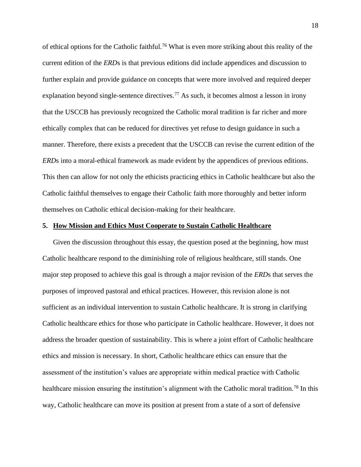of ethical options for the Catholic faithful.<sup>76</sup> What is even more striking about this reality of the current edition of the *ERD*s is that previous editions did include appendices and discussion to further explain and provide guidance on concepts that were more involved and required deeper explanation beyond single-sentence directives.<sup>77</sup> As such, it becomes almost a lesson in irony that the USCCB has previously recognized the Catholic moral tradition is far richer and more ethically complex that can be reduced for directives yet refuse to design guidance in such a manner. Therefore, there exists a precedent that the USCCB can revise the current edition of the *ERD*s into a moral-ethical framework as made evident by the appendices of previous editions. This then can allow for not only the ethicists practicing ethics in Catholic healthcare but also the Catholic faithful themselves to engage their Catholic faith more thoroughly and better inform themselves on Catholic ethical decision-making for their healthcare.

#### **5. How Mission and Ethics Must Cooperate to Sustain Catholic Healthcare**

Given the discussion throughout this essay, the question posed at the beginning, how must Catholic healthcare respond to the diminishing role of religious healthcare, still stands. One major step proposed to achieve this goal is through a major revision of the *ERD*s that serves the purposes of improved pastoral and ethical practices. However, this revision alone is not sufficient as an individual intervention to sustain Catholic healthcare. It is strong in clarifying Catholic healthcare ethics for those who participate in Catholic healthcare. However, it does not address the broader question of sustainability. This is where a joint effort of Catholic healthcare ethics and mission is necessary. In short, Catholic healthcare ethics can ensure that the assessment of the institution's values are appropriate within medical practice with Catholic healthcare mission ensuring the institution's alignment with the Catholic moral tradition.<sup>78</sup> In this way, Catholic healthcare can move its position at present from a state of a sort of defensive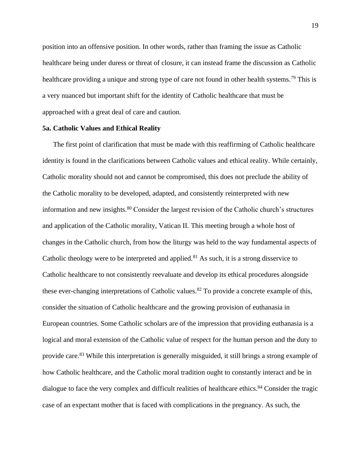position into an offensive position. In other words, rather than framing the issue as Catholic healthcare being under duress or threat of closure, it can instead frame the discussion as Catholic healthcare providing a unique and strong type of care not found in other health systems.<sup>79</sup> This is a very nuanced but important shift for the identity of Catholic healthcare that must be approached with a great deal of care and caution.

#### **5a. Catholic Values and Ethical Reality**

The first point of clarification that must be made with this reaffirming of Catholic healthcare identity is found in the clarifications between Catholic values and ethical reality. While certainly, Catholic morality should not and cannot be compromised, this does not preclude the ability of the Catholic morality to be developed, adapted, and consistently reinterpreted with new information and new insights.<sup>80</sup> Consider the largest revision of the Catholic church's structures and application of the Catholic morality, Vatican II. This meeting brough a whole host of changes in the Catholic church, from how the liturgy was held to the way fundamental aspects of Catholic theology were to be interpreted and applied.<sup>81</sup> As such, it is a strong disservice to Catholic healthcare to not consistently reevaluate and develop its ethical procedures alongside these ever-changing interpretations of Catholic values.<sup>82</sup> To provide a concrete example of this, consider the situation of Catholic healthcare and the growing provision of euthanasia in European countries. Some Catholic scholars are of the impression that providing euthanasia is a logical and moral extension of the Catholic value of respect for the human person and the duty to provide care.<sup>83</sup> While this interpretation is generally misguided, it still brings a strong example of how Catholic healthcare, and the Catholic moral tradition ought to constantly interact and be in dialogue to face the very complex and difficult realities of healthcare ethics.<sup>84</sup> Consider the tragic case of an expectant mother that is faced with complications in the pregnancy. As such, the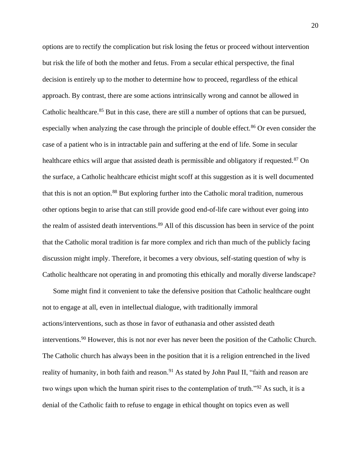options are to rectify the complication but risk losing the fetus or proceed without intervention but risk the life of both the mother and fetus. From a secular ethical perspective, the final decision is entirely up to the mother to determine how to proceed, regardless of the ethical approach. By contrast, there are some actions intrinsically wrong and cannot be allowed in Catholic healthcare.<sup>85</sup> But in this case, there are still a number of options that can be pursued, especially when analyzing the case through the principle of double effect.<sup>86</sup> Or even consider the case of a patient who is in intractable pain and suffering at the end of life. Some in secular healthcare ethics will argue that assisted death is permissible and obligatory if requested.<sup>87</sup> On the surface, a Catholic healthcare ethicist might scoff at this suggestion as it is well documented that this is not an option.<sup>88</sup> But exploring further into the Catholic moral tradition, numerous other options begin to arise that can still provide good end-of-life care without ever going into the realm of assisted death interventions.<sup>89</sup> All of this discussion has been in service of the point that the Catholic moral tradition is far more complex and rich than much of the publicly facing discussion might imply. Therefore, it becomes a very obvious, self-stating question of why is Catholic healthcare not operating in and promoting this ethically and morally diverse landscape?

Some might find it convenient to take the defensive position that Catholic healthcare ought not to engage at all, even in intellectual dialogue, with traditionally immoral actions/interventions, such as those in favor of euthanasia and other assisted death interventions.<sup>90</sup> However, this is not nor ever has never been the position of the Catholic Church. The Catholic church has always been in the position that it is a religion entrenched in the lived reality of humanity, in both faith and reason.<sup>91</sup> As stated by John Paul II, "faith and reason are two wings upon which the human spirit rises to the contemplation of truth."<sup>92</sup> As such, it is a denial of the Catholic faith to refuse to engage in ethical thought on topics even as well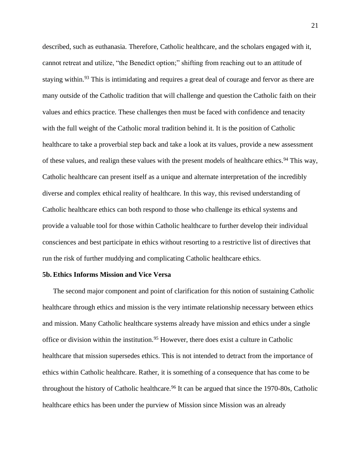described, such as euthanasia. Therefore, Catholic healthcare, and the scholars engaged with it, cannot retreat and utilize, "the Benedict option;" shifting from reaching out to an attitude of staying within.<sup>93</sup> This is intimidating and requires a great deal of courage and fervor as there are many outside of the Catholic tradition that will challenge and question the Catholic faith on their values and ethics practice. These challenges then must be faced with confidence and tenacity with the full weight of the Catholic moral tradition behind it. It is the position of Catholic healthcare to take a proverbial step back and take a look at its values, provide a new assessment of these values, and realign these values with the present models of healthcare ethics.<sup>94</sup> This way, Catholic healthcare can present itself as a unique and alternate interpretation of the incredibly diverse and complex ethical reality of healthcare. In this way, this revised understanding of Catholic healthcare ethics can both respond to those who challenge its ethical systems and provide a valuable tool for those within Catholic healthcare to further develop their individual consciences and best participate in ethics without resorting to a restrictive list of directives that run the risk of further muddying and complicating Catholic healthcare ethics.

#### **5b. Ethics Informs Mission and Vice Versa**

The second major component and point of clarification for this notion of sustaining Catholic healthcare through ethics and mission is the very intimate relationship necessary between ethics and mission. Many Catholic healthcare systems already have mission and ethics under a single office or division within the institution.<sup>95</sup> However, there does exist a culture in Catholic healthcare that mission supersedes ethics. This is not intended to detract from the importance of ethics within Catholic healthcare. Rather, it is something of a consequence that has come to be throughout the history of Catholic healthcare.<sup>96</sup> It can be argued that since the  $1970-80s$ , Catholic healthcare ethics has been under the purview of Mission since Mission was an already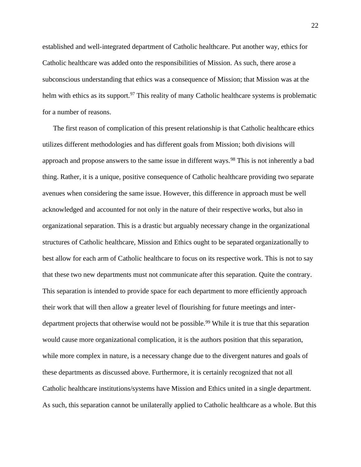established and well-integrated department of Catholic healthcare. Put another way, ethics for Catholic healthcare was added onto the responsibilities of Mission. As such, there arose a subconscious understanding that ethics was a consequence of Mission; that Mission was at the helm with ethics as its support.<sup>97</sup> This reality of many Catholic healthcare systems is problematic for a number of reasons.

The first reason of complication of this present relationship is that Catholic healthcare ethics utilizes different methodologies and has different goals from Mission; both divisions will approach and propose answers to the same issue in different ways.<sup>98</sup> This is not inherently a bad thing. Rather, it is a unique, positive consequence of Catholic healthcare providing two separate avenues when considering the same issue. However, this difference in approach must be well acknowledged and accounted for not only in the nature of their respective works, but also in organizational separation. This is a drastic but arguably necessary change in the organizational structures of Catholic healthcare, Mission and Ethics ought to be separated organizationally to best allow for each arm of Catholic healthcare to focus on its respective work. This is not to say that these two new departments must not communicate after this separation. Quite the contrary. This separation is intended to provide space for each department to more efficiently approach their work that will then allow a greater level of flourishing for future meetings and interdepartment projects that otherwise would not be possible.<sup>99</sup> While it is true that this separation would cause more organizational complication, it is the authors position that this separation, while more complex in nature, is a necessary change due to the divergent natures and goals of these departments as discussed above. Furthermore, it is certainly recognized that not all Catholic healthcare institutions/systems have Mission and Ethics united in a single department. As such, this separation cannot be unilaterally applied to Catholic healthcare as a whole. But this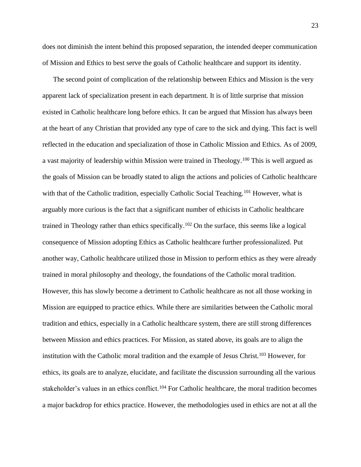does not diminish the intent behind this proposed separation, the intended deeper communication of Mission and Ethics to best serve the goals of Catholic healthcare and support its identity.

The second point of complication of the relationship between Ethics and Mission is the very apparent lack of specialization present in each department. It is of little surprise that mission existed in Catholic healthcare long before ethics. It can be argued that Mission has always been at the heart of any Christian that provided any type of care to the sick and dying. This fact is well reflected in the education and specialization of those in Catholic Mission and Ethics. As of 2009, a vast majority of leadership within Mission were trained in Theology.<sup>100</sup> This is well argued as the goals of Mission can be broadly stated to align the actions and policies of Catholic healthcare with that of the Catholic tradition, especially Catholic Social Teaching.<sup>101</sup> However, what is arguably more curious is the fact that a significant number of ethicists in Catholic healthcare trained in Theology rather than ethics specifically.<sup>102</sup> On the surface, this seems like a logical consequence of Mission adopting Ethics as Catholic healthcare further professionalized. Put another way, Catholic healthcare utilized those in Mission to perform ethics as they were already trained in moral philosophy and theology, the foundations of the Catholic moral tradition. However, this has slowly become a detriment to Catholic healthcare as not all those working in Mission are equipped to practice ethics. While there are similarities between the Catholic moral tradition and ethics, especially in a Catholic healthcare system, there are still strong differences between Mission and ethics practices. For Mission, as stated above, its goals are to align the institution with the Catholic moral tradition and the example of Jesus Christ.<sup>103</sup> However, for ethics, its goals are to analyze, elucidate, and facilitate the discussion surrounding all the various stakeholder's values in an ethics conflict.<sup>104</sup> For Catholic healthcare, the moral tradition becomes a major backdrop for ethics practice. However, the methodologies used in ethics are not at all the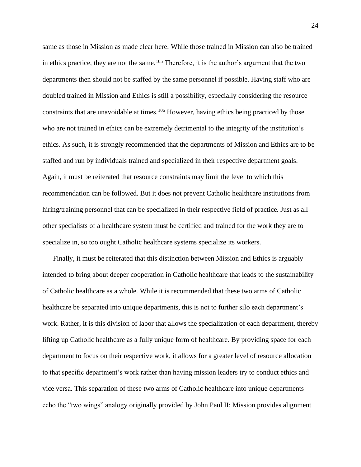same as those in Mission as made clear here. While those trained in Mission can also be trained in ethics practice, they are not the same.<sup>105</sup> Therefore, it is the author's argument that the two departments then should not be staffed by the same personnel if possible. Having staff who are doubled trained in Mission and Ethics is still a possibility, especially considering the resource constraints that are unavoidable at times.<sup>106</sup> However, having ethics being practiced by those who are not trained in ethics can be extremely detrimental to the integrity of the institution's ethics. As such, it is strongly recommended that the departments of Mission and Ethics are to be staffed and run by individuals trained and specialized in their respective department goals. Again, it must be reiterated that resource constraints may limit the level to which this recommendation can be followed. But it does not prevent Catholic healthcare institutions from hiring/training personnel that can be specialized in their respective field of practice. Just as all other specialists of a healthcare system must be certified and trained for the work they are to specialize in, so too ought Catholic healthcare systems specialize its workers.

Finally, it must be reiterated that this distinction between Mission and Ethics is arguably intended to bring about deeper cooperation in Catholic healthcare that leads to the sustainability of Catholic healthcare as a whole. While it is recommended that these two arms of Catholic healthcare be separated into unique departments, this is not to further silo each department's work. Rather, it is this division of labor that allows the specialization of each department, thereby lifting up Catholic healthcare as a fully unique form of healthcare. By providing space for each department to focus on their respective work, it allows for a greater level of resource allocation to that specific department's work rather than having mission leaders try to conduct ethics and vice versa. This separation of these two arms of Catholic healthcare into unique departments echo the "two wings" analogy originally provided by John Paul II; Mission provides alignment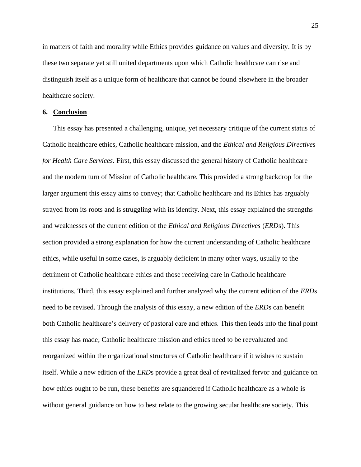in matters of faith and morality while Ethics provides guidance on values and diversity. It is by these two separate yet still united departments upon which Catholic healthcare can rise and distinguish itself as a unique form of healthcare that cannot be found elsewhere in the broader healthcare society.

#### **6. Conclusion**

This essay has presented a challenging, unique, yet necessary critique of the current status of Catholic healthcare ethics, Catholic healthcare mission, and the *Ethical and Religious Directives for Health Care Services.* First, this essay discussed the general history of Catholic healthcare and the modern turn of Mission of Catholic healthcare. This provided a strong backdrop for the larger argument this essay aims to convey; that Catholic healthcare and its Ethics has arguably strayed from its roots and is struggling with its identity. Next, this essay explained the strengths and weaknesses of the current edition of the *Ethical and Religious Directives* (*ERD*s). This section provided a strong explanation for how the current understanding of Catholic healthcare ethics, while useful in some cases, is arguably deficient in many other ways, usually to the detriment of Catholic healthcare ethics and those receiving care in Catholic healthcare institutions. Third, this essay explained and further analyzed why the current edition of the *ERD*s need to be revised. Through the analysis of this essay, a new edition of the *ERD*s can benefit both Catholic healthcare's delivery of pastoral care and ethics. This then leads into the final point this essay has made; Catholic healthcare mission and ethics need to be reevaluated and reorganized within the organizational structures of Catholic healthcare if it wishes to sustain itself. While a new edition of the *ERD*s provide a great deal of revitalized fervor and guidance on how ethics ought to be run, these benefits are squandered if Catholic healthcare as a whole is without general guidance on how to best relate to the growing secular healthcare society. This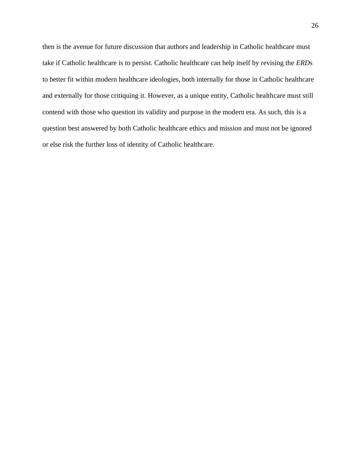then is the avenue for future discussion that authors and leadership in Catholic healthcare must take if Catholic healthcare is to persist. Catholic healthcare can help itself by revising the *ERD*s to better fit within modern healthcare ideologies, both internally for those in Catholic healthcare and externally for those critiquing it. However, as a unique entity, Catholic healthcare must still contend with those who question its validity and purpose in the modern era. As such, this is a question best answered by both Catholic healthcare ethics and mission and must not be ignored or else risk the further loss of identity of Catholic healthcare.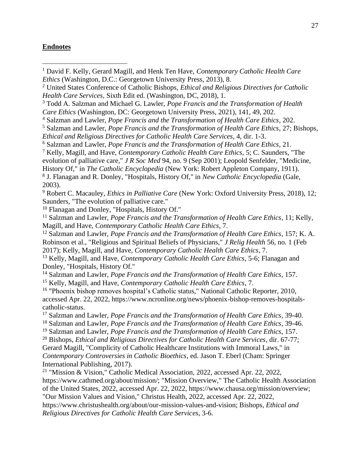# **Endnotes**

- <sup>1</sup> David F. Kelly, Gerard Magill, and Henk Ten Have, *Contemporary Catholic Health Care Ethics* (Washington, D.C.: Georgetown University Press, 2013), 8.
- <sup>2</sup> United States Conference of Catholic Bishops, *Ethical and Religious Directives for Catholic Health Care Services*, Sixth Edit ed. (Washington, DC, 2018), 1.

<sup>3</sup> Todd A. Salzman and Michael G. Lawler, *Pope Francis and the Transformation of Health Care Ethics* (Washington, DC: Georgetown University Press, 2021), 141, 49, 202.

<sup>4</sup> Salzman and Lawler, *Pope Francis and the Transformation of Health Care Ethics*, 202.

<sup>5</sup> Salzman and Lawler, *Pope Francis and the Transformation of Health Care Ethics*, 27; Bishops,

*Ethical and Religious Directives for Catholic Health Care Services*, 4, dir. 1-3.

<sup>6</sup> Salzman and Lawler, *Pope Francis and the Transformation of Health Care Ethics*, 21.

<sup>7</sup> Kelly, Magill, and Have, *Contemporary Catholic Health Care Ethics*, 5; C. Saunders, "The

evolution of palliative care," *J R Soc Med* 94, no. 9 (Sep 2001); Leopold Senfelder, "Medicine,

History Of," in *The Catholic Encyclopedia* (New York: Robert Appleton Company, 1911). 8 J. Flanagan and R. Donley, "Hospitals, History Of," in *New Catholic Encyclopedia* (Gale,

2003).

<sup>9</sup> Robert C. Macauley, *Ethics in Palliative Care* (New York: Oxford University Press, 2018), 12; Saunders, "The evolution of palliative care."

<sup>10</sup> Flanagan and Donley, "Hospitals, History Of."

<sup>11</sup> Salzman and Lawler, *Pope Francis and the Transformation of Health Care Ethics*, 11; Kelly, Magill, and Have, *Contemporary Catholic Health Care Ethics*, 7.

<sup>12</sup> Salzman and Lawler, *Pope Francis and the Transformation of Health Care Ethics*, 157; K. A. Robinson et al., "Religious and Spiritual Beliefs of Physicians," *J Relig Health* 56, no. 1 (Feb 2017); Kelly, Magill, and Have, *Contemporary Catholic Health Care Ethics*, 7.

<sup>13</sup> Kelly, Magill, and Have, *Contemporary Catholic Health Care Ethics*, 5-6; Flanagan and Donley, "Hospitals, History Of."

<sup>14</sup> Salzman and Lawler, *Pope Francis and the Transformation of Health Care Ethics*, 157. <sup>15</sup> Kelly, Magill, and Have, *Contemporary Catholic Health Care Ethics*, 7.

<sup>16</sup> "Phoenix bishop removes hospital's Catholic status," National Catholic Reporter, 2010, accessed Apr. 22, 2022, https://www.ncronline.org/news/phoenix-bishop-removes-hospitalscatholic-status.

<sup>17</sup> Salzman and Lawler, *Pope Francis and the Transformation of Health Care Ethics*, 39-40.

<sup>18</sup> Salzman and Lawler, *Pope Francis and the Transformation of Health Care Ethics*, 39-46.

<sup>19</sup> Salzman and Lawler, *Pope Francis and the Transformation of Health Care Ethics*, 157.

<sup>20</sup> Bishops, *Ethical and Religious Directives for Catholic Health Care Services*, dir. 67-77; Gerard Magill, "Complicity of Catholic Healthcare Institutions with Immoral Laws," in *Contemporary Controversies in Catholic Bioethics*, ed. Jason T. Eberl (Cham: Springer International Publishing, 2017).

<sup>21</sup> "Mission & Vision," Catholic Medical Association, 2022, accessed Apr. 22, 2022, https://www.cathmed.org/about/mission/; "Mission Overview," The Catholic Health Association of the United States, 2022, accessed Apr. 22, 2022, https://www.chausa.org/mission/overview; "Our Mission Values and Vision," Christus Health, 2022, accessed Apr. 22, 2022,

https://www.christushealth.org/about/our-mission-values-and-vision; Bishops, *Ethical and Religious Directives for Catholic Health Care Services*, 3-6.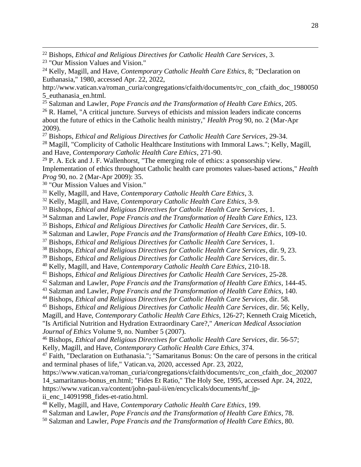- "Our Mission Values and Vision."
- Kelly, Magill, and Have, *Contemporary Catholic Health Care Ethics*, 8; "Declaration on Euthanasia," 1980, accessed Apr. 22, 2022,

http://www.vatican.va/roman\_curia/congregations/cfaith/documents/rc\_con\_cfaith\_doc\_1980050 5\_euthanasia\_en.html.

Salzman and Lawler, *Pope Francis and the Transformation of Health Care Ethics*, 205.

 R. Hamel, "A critical juncture. Surveys of ethicists and mission leaders indicate concerns about the future of ethics in the Catholic health ministry," *Health Prog* 90, no. 2 (Mar-Apr 2009).

Bishops, *Ethical and Religious Directives for Catholic Health Care Services*, 29-34.

<sup>28</sup> Magill, "Complicity of Catholic Healthcare Institutions with Immoral Laws."; Kelly, Magill, and Have, *Contemporary Catholic Health Care Ethics*, 271-90.

 P. A. Eck and J. F. Wallenhorst, "The emerging role of ethics: a sponsorship view. Implementation of ethics throughout Catholic health care promotes values-based actions," *Health Prog* 90, no. 2 (Mar-Apr 2009): 35.

"Our Mission Values and Vision."

Kelly, Magill, and Have, *Contemporary Catholic Health Care Ethics*, 3.

Kelly, Magill, and Have, *Contemporary Catholic Health Care Ethics*, 3-9.

Bishops, *Ethical and Religious Directives for Catholic Health Care Services*, 1.

Salzman and Lawler, *Pope Francis and the Transformation of Health Care Ethics*, 123.

Bishops, *Ethical and Religious Directives for Catholic Health Care Services*, dir. 5.

Salzman and Lawler, *Pope Francis and the Transformation of Health Care Ethics*, 109-10.

Bishops, *Ethical and Religious Directives for Catholic Health Care Services*, 1.

Bishops, *Ethical and Religious Directives for Catholic Health Care Services*, dir. 9, 23.

Bishops, *Ethical and Religious Directives for Catholic Health Care Services*, dir. 5.

Kelly, Magill, and Have, *Contemporary Catholic Health Care Ethics*, 210-18.

Bishops, *Ethical and Religious Directives for Catholic Health Care Services*, 25-28.

Salzman and Lawler, *Pope Francis and the Transformation of Health Care Ethics*, 144-45.

Salzman and Lawler, *Pope Francis and the Transformation of Health Care Ethics*, 140.

Bishops, *Ethical and Religious Directives for Catholic Health Care Services*, dir. 58.

Bishops, *Ethical and Religious Directives for Catholic Health Care Services*, dir. 56; Kelly,

Magill, and Have, *Contemporary Catholic Health Care Ethics*, 126-27; Kenneth Craig Micetich,

"Is Artificial Nutrition and Hydration Extraordinary Care?," *American Medical Association Journal of Ethics* Volume 9, no. Number 5 (2007).

 Bishops, *Ethical and Religious Directives for Catholic Health Care Services*, dir. 56-57; Kelly, Magill, and Have, *Contemporary Catholic Health Care Ethics*, 374.

 Faith, "Declaration on Euthanasia."; "Samaritanus Bonus: On the care of persons in the critical and terminal phases of life," Vatican.va, 2020, accessed Apr. 23, 2022,

https://www.vatican.va/roman\_curia/congregations/cfaith/documents/rc\_con\_cfaith\_doc\_202007 14\_samaritanus-bonus\_en.html; "Fides Et Ratio," The Holy See, 1995, accessed Apr. 24, 2022, https://www.vatican.va/content/john-paul-ii/en/encyclicals/documents/hf\_jpii\_enc\_14091998\_fides-et-ratio.html.

- Kelly, Magill, and Have, *Contemporary Catholic Health Care Ethics*, 199.
- Salzman and Lawler, *Pope Francis and the Transformation of Health Care Ethics*, 78.
- Salzman and Lawler, *Pope Francis and the Transformation of Health Care Ethics*, 80.

Bishops, *Ethical and Religious Directives for Catholic Health Care Services*, 3.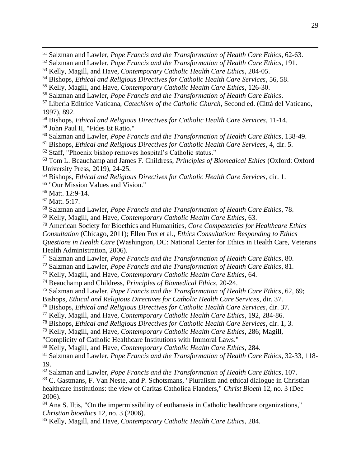Bishops, *Ethical and Religious Directives for Catholic Health Care Services*, 11-14.

John Paul II, "Fides Et Ratio."

Salzman and Lawler, *Pope Francis and the Transformation of Health Care Ethics*, 138-49.

Bishops, *Ethical and Religious Directives for Catholic Health Care Services*, 4, dir. 5.

Staff, "Phoenix bishop removes hospital's Catholic status."

 Tom L. Beauchamp and James F. Childress, *Principles of Biomedical Ethics* (Oxford: Oxford University Press, 2019), 24-25.

Bishops, *Ethical and Religious Directives for Catholic Health Care Services*, dir. 1.

"Our Mission Values and Vision."

Matt. 12:9-14.

Matt. 5:17.

Salzman and Lawler, *Pope Francis and the Transformation of Health Care Ethics*, 78.

Kelly, Magill, and Have, *Contemporary Catholic Health Care Ethics*, 63.

 American Society for Bioethics and Humanities, *Core Competencies for Healthcare Ethics Consultation* (Chicago, 2011); Ellen Fox et al., *Ethics Consultation: Responding to Ethics Questions in Health Care* (Washington, DC: National Center for Ethics in Health Care, Veterans Health Administration, 2006).

Salzman and Lawler, *Pope Francis and the Transformation of Health Care Ethics*, 80.

Salzman and Lawler, *Pope Francis and the Transformation of Health Care Ethics*, 81.

Kelly, Magill, and Have, *Contemporary Catholic Health Care Ethics*, 64.

Beauchamp and Childress, *Principles of Biomedical Ethics*, 20-24.

Salzman and Lawler, *Pope Francis and the Transformation of Health Care Ethics*, 62, 69;

Bishops, *Ethical and Religious Directives for Catholic Health Care Services*, dir. 37.

Bishops, *Ethical and Religious Directives for Catholic Health Care Services*, dir. 37.

Kelly, Magill, and Have, *Contemporary Catholic Health Care Ethics*, 192, 284-86.

Bishops, *Ethical and Religious Directives for Catholic Health Care Services*, dir. 1, 3.

Kelly, Magill, and Have, *Contemporary Catholic Health Care Ethics*, 286; Magill,

"Complicity of Catholic Healthcare Institutions with Immoral Laws."

Kelly, Magill, and Have, *Contemporary Catholic Health Care Ethics*, 284.

 Salzman and Lawler, *Pope Francis and the Transformation of Health Care Ethics*, 32-33, 118- 19.

Salzman and Lawler, *Pope Francis and the Transformation of Health Care Ethics*, 107.

 C. Gastmans, F. Van Neste, and P. Schotsmans, "Pluralism and ethical dialogue in Christian healthcare institutions: the view of Caritas Catholica Flanders," *Christ Bioeth* 12, no. 3 (Dec 2006).

<sup>84</sup> Ana S. Iltis, "On the impermissibility of euthanasia in Catholic healthcare organizations," *Christian bioethics* 12, no. 3 (2006).

Kelly, Magill, and Have, *Contemporary Catholic Health Care Ethics*, 284.

Salzman and Lawler, *Pope Francis and the Transformation of Health Care Ethics*, 62-63.

Salzman and Lawler, *Pope Francis and the Transformation of Health Care Ethics*, 191.

Kelly, Magill, and Have, *Contemporary Catholic Health Care Ethics*, 204-05.

Bishops, *Ethical and Religious Directives for Catholic Health Care Services*, 56, 58.

Kelly, Magill, and Have, *Contemporary Catholic Health Care Ethics*, 126-30.

Salzman and Lawler, *Pope Francis and the Transformation of Health Care Ethics*.

 Liberia Editrice Vaticana, *Catechism of the Catholic Church*, Second ed. (Città del Vaticano, 1997), 892.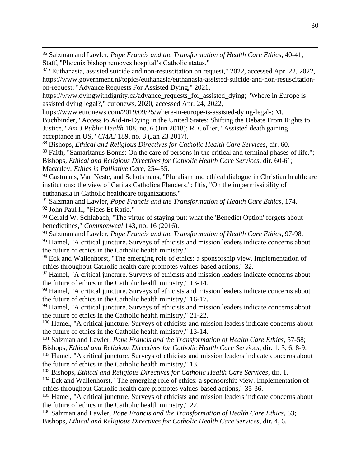<sup>86</sup> Salzman and Lawler, *Pope Francis and the Transformation of Health Care Ethics*, 40-41; Staff, "Phoenix bishop removes hospital's Catholic status."

<sup>87</sup> "Euthanasia, assisted suicide and non-resuscitation on request," 2022, accessed Apr. 22, 2022, https://www.government.nl/topics/euthanasia/euthanasia-assisted-suicide-and-non-resuscitationon-request; "Advance Requests For Assisted Dying," 2021,

https://www.dyingwithdignity.ca/advance\_requests\_for\_assisted\_dying; "Where in Europe is assisted dying legal?," euronews, 2020, accessed Apr. 24, 2022,

https://www.euronews.com/2019/09/25/where-in-europe-is-assisted-dying-legal-; M.

Buchbinder, "Access to Aid-in-Dying in the United States: Shifting the Debate From Rights to Justice," *Am J Public Health* 108, no. 6 (Jun 2018); R. Collier, "Assisted death gaining acceptance in US," *CMAJ* 189, no. 3 (Jan 23 2017).

<sup>88</sup> Bishops, *Ethical and Religious Directives for Catholic Health Care Services*, dir. 60. <sup>89</sup> Faith, "Samaritanus Bonus: On the care of persons in the critical and terminal phases of life."; Bishops, *Ethical and Religious Directives for Catholic Health Care Services*, dir. 60-61; Macauley, *Ethics in Palliative Care*, 254-55.

<sup>90</sup> Gastmans, Van Neste, and Schotsmans, "Pluralism and ethical dialogue in Christian healthcare institutions: the view of Caritas Catholica Flanders."; Iltis, "On the impermissibility of euthanasia in Catholic healthcare organizations."

<sup>91</sup> Salzman and Lawler, *Pope Francis and the Transformation of Health Care Ethics*, 174. <sup>92</sup> John Paul II, "Fides Et Ratio."

93 Gerald W. Schlabach, "The virtue of staying put: what the 'Benedict Option' forgets about benedictines," *Commonweal* 143, no. 16 (2016).

<sup>94</sup> Salzman and Lawler, *Pope Francis and the Transformation of Health Care Ethics*, 97-98.

<sup>95</sup> Hamel, "A critical juncture. Surveys of ethicists and mission leaders indicate concerns about the future of ethics in the Catholic health ministry."

<sup>96</sup> Eck and Wallenhorst, "The emerging role of ethics: a sponsorship view. Implementation of ethics throughout Catholic health care promotes values-based actions," 32.

<sup>97</sup> Hamel, "A critical juncture. Surveys of ethicists and mission leaders indicate concerns about the future of ethics in the Catholic health ministry," 13-14.

<sup>98</sup> Hamel, "A critical juncture. Surveys of ethicists and mission leaders indicate concerns about the future of ethics in the Catholic health ministry," 16-17.

<sup>99</sup> Hamel, "A critical juncture. Surveys of ethicists and mission leaders indicate concerns about the future of ethics in the Catholic health ministry," 21-22.

<sup>100</sup> Hamel, "A critical juncture. Surveys of ethicists and mission leaders indicate concerns about the future of ethics in the Catholic health ministry," 13-14.

<sup>101</sup> Salzman and Lawler, *Pope Francis and the Transformation of Health Care Ethics*, 57-58;

Bishops, *Ethical and Religious Directives for Catholic Health Care Services*, dir. 1, 3, 6, 8-9. <sup>102</sup> Hamel, "A critical juncture. Surveys of ethicists and mission leaders indicate concerns about the future of ethics in the Catholic health ministry," 13.

<sup>103</sup> Bishops, *Ethical and Religious Directives for Catholic Health Care Services*, dir. 1.

<sup>104</sup> Eck and Wallenhorst, "The emerging role of ethics: a sponsorship view. Implementation of ethics throughout Catholic health care promotes values-based actions," 35-36.

<sup>105</sup> Hamel, "A critical juncture. Surveys of ethicists and mission leaders indicate concerns about the future of ethics in the Catholic health ministry," 22.

<sup>106</sup> Salzman and Lawler, *Pope Francis and the Transformation of Health Care Ethics*, 63; Bishops, *Ethical and Religious Directives for Catholic Health Care Services*, dir. 4, 6.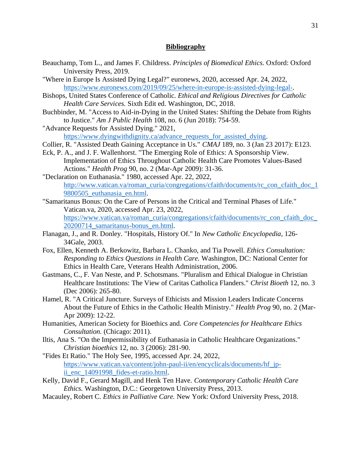#### **Bibliography**

- Beauchamp, Tom L., and James F. Childress. *Principles of Biomedical Ethics.* Oxford: Oxford University Press, 2019.
- "Where in Europe Is Assisted Dying Legal?" euronews, 2020, accessed Apr. 24, 2022, [https://www.euronews.com/2019/09/25/where-in-europe-is-assisted-dying-legal-.](https://www.euronews.com/2019/09/25/where-in-europe-is-assisted-dying-legal-)
- Bishops, United States Conference of Catholic. *Ethical and Religious Directives for Catholic Health Care Services.* Sixth Edit ed. Washington, DC, 2018.
- Buchbinder, M. "Access to Aid-in-Dying in the United States: Shifting the Debate from Rights to Justice." *Am J Public Health* 108, no. 6 (Jun 2018): 754-59.
- "Advance Requests for Assisted Dying." 2021,

[https://www.dyingwithdignity.ca/advance\\_requests\\_for\\_assisted\\_dying.](https://www.dyingwithdignity.ca/advance_requests_for_assisted_dying)

- Collier, R. "Assisted Death Gaining Acceptance in Us." *CMAJ* 189, no. 3 (Jan 23 2017): E123.
- Eck, P. A., and J. F. Wallenhorst. "The Emerging Role of Ethics: A Sponsorship View. Implementation of Ethics Throughout Catholic Health Care Promotes Values-Based Actions." *Health Prog* 90, no. 2 (Mar-Apr 2009): 31-36.
- "Declaration on Euthanasia." 1980, accessed Apr. 22, 2022, [http://www.vatican.va/roman\\_curia/congregations/cfaith/documents/rc\\_con\\_cfaith\\_doc\\_1](http://www.vatican.va/roman_curia/congregations/cfaith/documents/rc_con_cfaith_doc_19800505_euthanasia_en.html)\_ [9800505\\_euthanasia\\_en.html.](http://www.vatican.va/roman_curia/congregations/cfaith/documents/rc_con_cfaith_doc_19800505_euthanasia_en.html)
- "Samaritanus Bonus: On the Care of Persons in the Critical and Terminal Phases of Life." Vatican.va, 2020, accessed Apr. 23, 2022, https://www.vatican.va/roman\_curia/congregations/cfaith/documents/rc\_con\_cfaith\_doc [20200714\\_samaritanus-bonus\\_en.html.](https://www.vatican.va/roman_curia/congregations/cfaith/documents/rc_con_cfaith_doc_20200714_samaritanus-bonus_en.html)
- Flanagan, J., and R. Donley. "Hospitals, History Of." In *New Catholic Encyclopedia*, 126- 34Gale, 2003.
- Fox, Ellen, Kenneth A. Berkowitz, Barbara L. Chanko, and Tia Powell. *Ethics Consultation: Responding to Ethics Questions in Health Care.* Washington, DC: National Center for Ethics in Health Care, Veterans Health Administration, 2006.
- Gastmans, C., F. Van Neste, and P. Schotsmans. "Pluralism and Ethical Dialogue in Christian Healthcare Institutions: The View of Caritas Catholica Flanders." *Christ Bioeth* 12, no. 3 (Dec 2006): 265-80.
- Hamel, R. "A Critical Juncture. Surveys of Ethicists and Mission Leaders Indicate Concerns About the Future of Ethics in the Catholic Health Ministry." *Health Prog* 90, no. 2 (Mar-Apr 2009): 12-22.
- Humanities, American Society for Bioethics and. *Core Competencies for Healthcare Ethics Consultation.* (Chicago: 2011).
- Iltis, Ana S. "On the Impermissibility of Euthanasia in Catholic Healthcare Organizations." *Christian bioethics* 12, no. 3 (2006): 281-90.
- "Fides Et Ratio." The Holy See, 1995, accessed Apr. 24, 2022, [https://www.vatican.va/content/john-paul-ii/en/encyclicals/documents/hf\\_jp](https://www.vatican.va/content/john-paul-ii/en/encyclicals/documents/hf_jp-ii_enc_14091998_fides-et-ratio.html)[ii\\_enc\\_14091998\\_fides-et-ratio.html.](https://www.vatican.va/content/john-paul-ii/en/encyclicals/documents/hf_jp-ii_enc_14091998_fides-et-ratio.html)
- Kelly, David F., Gerard Magill, and Henk Ten Have. *Contemporary Catholic Health Care Ethics.* Washington, D.C.: Georgetown University Press, 2013.
- Macauley, Robert C. *Ethics in Palliative Care.* New York: Oxford University Press, 2018.